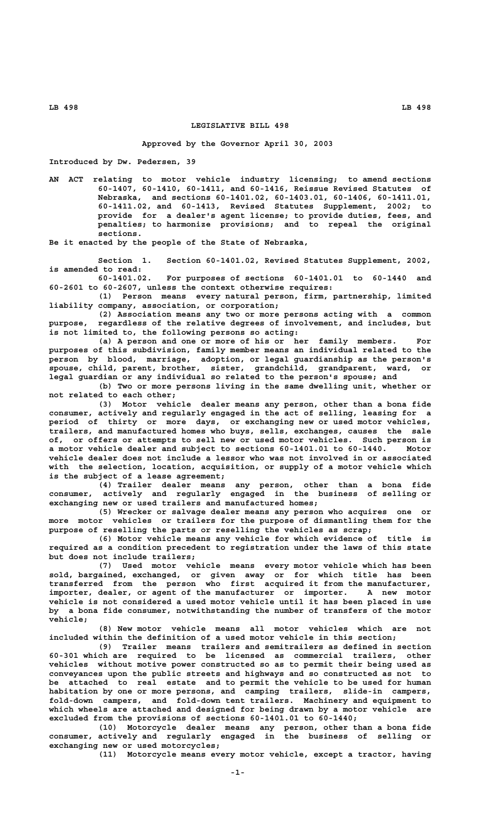## **LEGISLATIVE BILL 498**

**Approved by the Governor April 30, 2003**

**Introduced by Dw. Pedersen, 39**

**AN ACT relating to motor vehicle industry licensing; to amend sections 60-1407, 60-1410, 60-1411, and 60-1416, Reissue Revised Statutes of Nebraska, and sections 60-1401.02, 60-1403.01, 60-1406, 60-1411.01, 60-1411.02, and 60-1413, Revised Statutes Supplement, 2002; to provide for a dealer's agent license; to provide duties, fees, and penalties; to harmonize provisions; and to repeal the original sections.**

**Be it enacted by the people of the State of Nebraska,**

**Section 1. Section 60-1401.02, Revised Statutes Supplement, 2002, is amended to read:**

**60-1401.02. For purposes of sections 60-1401.01 to 60-1440 and 60-2601 to 60-2607, unless the context otherwise requires:**

**(1) Person means every natural person, firm, partnership, limited liability company, association, or corporation;**

**(2) Association means any two or more persons acting with a common purpose, regardless of the relative degrees of involvement, and includes, but is not limited to, the following persons so acting:**

**(a) A person and one or more of his or her family members. For purposes of this subdivision, family member means an individual related to the person by blood, marriage, adoption, or legal guardianship as the person's spouse, child, parent, brother, sister, grandchild, grandparent, ward, or legal guardian or any individual so related to the person's spouse; and**

**(b) Two or more persons living in the same dwelling unit, whether or not related to each other;**

**(3) Motor vehicle dealer means any person, other than a bona fide consumer, actively and regularly engaged in the act of selling, leasing for a period of thirty or more days, or exchanging new or used motor vehicles, trailers, and manufactured homes who buys, sells, exchanges, causes the sale of, or offers or attempts to sell new or used motor vehicles. Such person is a motor vehicle dealer and subject to sections 60-1401.01 to 60-1440. Motor vehicle dealer does not include a lessor who was not involved in or associated with the selection, location, acquisition, or supply of a motor vehicle which is the subject of a lease agreement;**

**(4) Trailer dealer means any person, other than a bona fide consumer, actively and regularly engaged in the business of selling or exchanging new or used trailers and manufactured homes;**

**(5) Wrecker or salvage dealer means any person who acquires one or more motor vehicles or trailers for the purpose of dismantling them for the purpose of reselling the parts or reselling the vehicles as scrap;**

**(6) Motor vehicle means any vehicle for which evidence of title is required as a condition precedent to registration under the laws of this state but does not include trailers;**

**(7) Used motor vehicle means every motor vehicle which has been sold, bargained, exchanged, or given away or for which title has been transferred from the person who first acquired it from the manufacturer, importer, dealer, or agent of the manufacturer or importer. A new motor vehicle is not considered a used motor vehicle until it has been placed in use by a bona fide consumer, notwithstanding the number of transfers of the motor vehicle;**

**(8) New motor vehicle means all motor vehicles which are not included within the definition of a used motor vehicle in this section;**

**(9) Trailer means trailers and semitrailers as defined in section 60-301 which are required to be licensed as commercial trailers, other vehicles without motive power constructed so as to permit their being used as conveyances upon the public streets and highways and so constructed as not to be attached to real estate and to permit the vehicle to be used for human habitation by one or more persons, and camping trailers, slide-in campers, fold-down campers, and fold-down tent trailers. Machinery and equipment to which wheels are attached and designed for being drawn by a motor vehicle are excluded from the provisions of sections 60-1401.01 to 60-1440;**

**(10) Motorcycle dealer means any person, other than a bona fide consumer, actively and regularly engaged in the business of selling or exchanging new or used motorcycles;**

**(11) Motorcycle means every motor vehicle, except a tractor, having**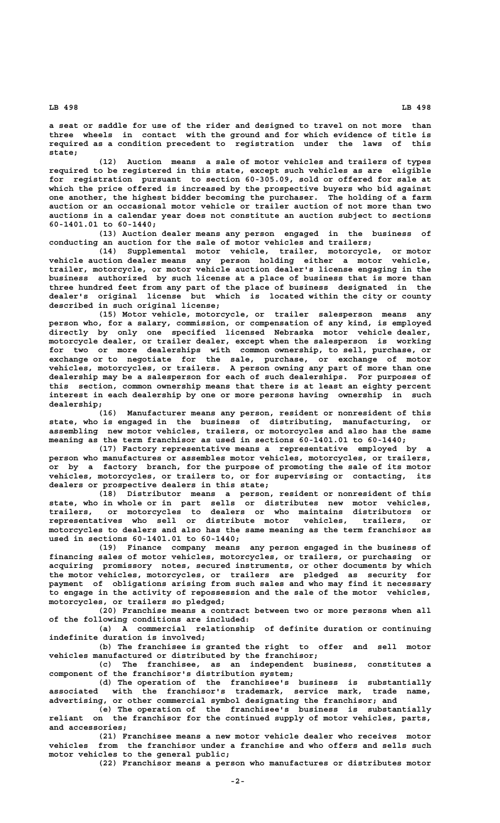**a seat or saddle for use of the rider and designed to travel on not more than three wheels in contact with the ground and for which evidence of title is required as a condition precedent to registration under the laws of this state;**

**(12) Auction means a sale of motor vehicles and trailers of types required to be registered in this state, except such vehicles as are eligible for registration pursuant to section 60-305.09, sold or offered for sale at which the price offered is increased by the prospective buyers who bid against one another, the highest bidder becoming the purchaser. The holding of a farm auction or an occasional motor vehicle or trailer auction of not more than two auctions in a calendar year does not constitute an auction subject to sections 60-1401.01 to 60-1440;**

**(13) Auction dealer means any person engaged in the business of conducting an auction for the sale of motor vehicles and trailers;**

**(14) Supplemental motor vehicle, trailer, motorcycle, or motor vehicle auction dealer means any person holding either a motor vehicle, trailer, motorcycle, or motor vehicle auction dealer's license engaging in the business authorized by such license at a place of business that is more than three hundred feet from any part of the place of business designated in the dealer's original license but which is located within the city or county described in such original license;**

**(15) Motor vehicle, motorcycle, or trailer salesperson means any person who, for a salary, commission, or compensation of any kind, is employed directly by only one specified licensed Nebraska motor vehicle dealer, motorcycle dealer, or trailer dealer, except when the salesperson is working for two or more dealerships with common ownership, to sell, purchase, or exchange or to negotiate for the sale, purchase, or exchange of motor vehicles, motorcycles, or trailers. A person owning any part of more than one dealership may be a salesperson for each of such dealerships. For purposes of this section, common ownership means that there is at least an eighty percent interest in each dealership by one or more persons having ownership in such dealership;**

**(16) Manufacturer means any person, resident or nonresident of this state, who is engaged in the business of distributing, manufacturing, or assembling new motor vehicles, trailers, or motorcycles and also has the same meaning as the term franchisor as used in sections 60-1401.01 to 60-1440;**

**(17) Factory representative means a representative employed by a person who manufactures or assembles motor vehicles, motorcycles, or trailers, or by a factory branch, for the purpose of promoting the sale of its motor vehicles, motorcycles, or trailers to, or for supervising or contacting, its dealers or prospective dealers in this state;**

**(18) Distributor means a person, resident or nonresident of this state, who in whole or in part sells or distributes new motor vehicles, trailers, or motorcycles to dealers or who maintains distributors or representatives who sell or distribute motor vehicles, trailers, or motorcycles to dealers and also has the same meaning as the term franchisor as used in sections 60-1401.01 to 60-1440;**

**(19) Finance company means any person engaged in the business of financing sales of motor vehicles, motorcycles, or trailers, or purchasing or acquiring promissory notes, secured instruments, or other documents by which the motor vehicles, motorcycles, or trailers are pledged as security for payment of obligations arising from such sales and who may find it necessary to engage in the activity of repossession and the sale of the motor vehicles, motorcycles, or trailers so pledged;**

**(20) Franchise means a contract between two or more persons when all of the following conditions are included:**

**(a) A commercial relationship of definite duration or continuing indefinite duration is involved;**

**(b) The franchisee is granted the right to offer and sell motor vehicles manufactured or distributed by the franchisor;**

**(c) The franchisee, as an independent business, constitutes a component of the franchisor's distribution system;**

**(d) The operation of the franchisee's business is substantially associated with the franchisor's trademark, service mark, trade name, advertising, or other commercial symbol designating the franchisor; and**

**(e) The operation of the franchisee's business is substantially reliant on the franchisor for the continued supply of motor vehicles, parts, and accessories;**

**(21) Franchisee means a new motor vehicle dealer who receives motor vehicles from the franchisor under a franchise and who offers and sells such motor vehicles to the general public;**

**(22) Franchisor means a person who manufactures or distributes motor**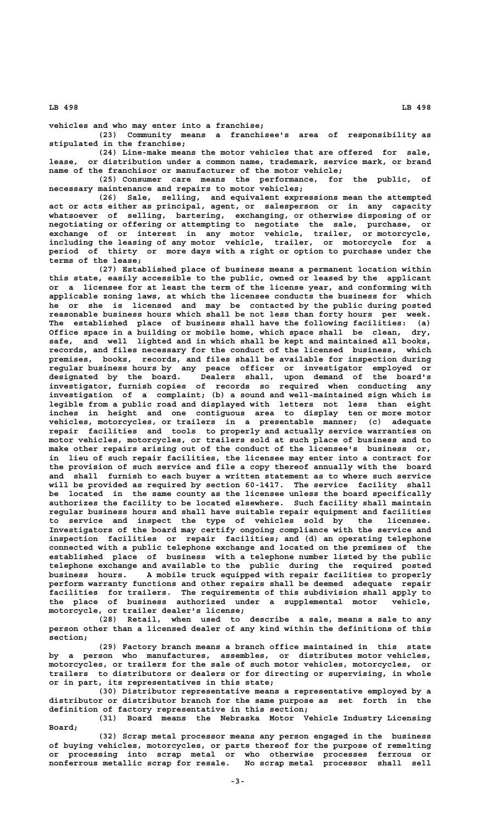**vehicles and who may enter into a franchise;**

**(23) Community means a franchisee's area of responsibility as stipulated in the franchise;**

**(24) Line-make means the motor vehicles that are offered for sale, lease, or distribution under a common name, trademark, service mark, or brand name of the franchisor or manufacturer of the motor vehicle;**

**(25) Consumer care means the performance, for the public, of necessary maintenance and repairs to motor vehicles;**

**(26) Sale, selling, and equivalent expressions mean the attempted act or acts either as principal, agent, or salesperson or in any capacity whatsoever of selling, bartering, exchanging, or otherwise disposing of or negotiating or offering or attempting to negotiate the sale, purchase, or exchange of or interest in any motor vehicle, trailer, or motorcycle, including the leasing of any motor vehicle, trailer, or motorcycle for a period of thirty or more days with a right or option to purchase under the terms of the lease;**

**(27) Established place of business means a permanent location within this state, easily accessible to the public, owned or leased by the applicant or a licensee for at least the term of the license year, and conforming with applicable zoning laws, at which the licensee conducts the business for which he or she is licensed and may be contacted by the public during posted reasonable business hours which shall be not less than forty hours per week. The established place of business shall have the following facilities: (a) Office space in a building or mobile home, which space shall be clean, dry, safe, and well lighted and in which shall be kept and maintained all books, records, and files necessary for the conduct of the licensed business, which premises, books, records, and files shall be available for inspection during regular business hours by any peace officer or investigator employed or designated by the board. Dealers shall, upon demand of the board's investigator, furnish copies of records so required when conducting any investigation of a complaint; (b) a sound and well-maintained sign which is legible from a public road and displayed with letters not less than eight inches in height and one contiguous area to display ten or more motor vehicles, motorcycles, or trailers in a presentable manner; (c) adequate repair facilities and tools to properly and actually service warranties on motor vehicles, motorcycles, or trailers sold at such place of business and to make other repairs arising out of the conduct of the licensee's business or, in lieu of such repair facilities, the licensee may enter into a contract for the provision of such service and file a copy thereof annually with the board and shall furnish to each buyer a written statement as to where such service will be provided as required by section 60-1417. The service facility shall be located in the same county as the licensee unless the board specifically authorizes the facility to be located elsewhere. Such facility shall maintain regular business hours and shall have suitable repair equipment and facilities to service and inspect the type of vehicles sold by the licensee. Investigators of the board may certify ongoing compliance with the service and inspection facilities or repair facilities; and (d) an operating telephone connected with a public telephone exchange and located on the premises of the established place of business with a telephone number listed by the public telephone exchange and available to the public during the required posted business hours. A mobile truck equipped with repair facilities to properly perform warranty functions and other repairs shall be deemed adequate repair facilities for trailers. The requirements of this subdivision shall apply to the place of business authorized under a supplemental motor vehicle, motorcycle, or trailer dealer's license;**

**(28) Retail, when used to describe a sale, means a sale to any person other than a licensed dealer of any kind within the definitions of this section;**

**(29) Factory branch means a branch office maintained in this state by a person who manufactures, assembles, or distributes motor vehicles, motorcycles, or trailers for the sale of such motor vehicles, motorcycles, or trailers to distributors or dealers or for directing or supervising, in whole or in part, its representatives in this state;**

**(30) Distributor representative means a representative employed by a distributor or distributor branch for the same purpose as set forth in the definition of factory representative in this section;**

**(31) Board means the Nebraska Motor Vehicle Industry Licensing Board;**

**(32) Scrap metal processor means any person engaged in the business of buying vehicles, motorcycles, or parts thereof for the purpose of remelting or processing into scrap metal or who otherwise processes ferrous or nonferrous metallic scrap for resale. No scrap metal processor shall sell**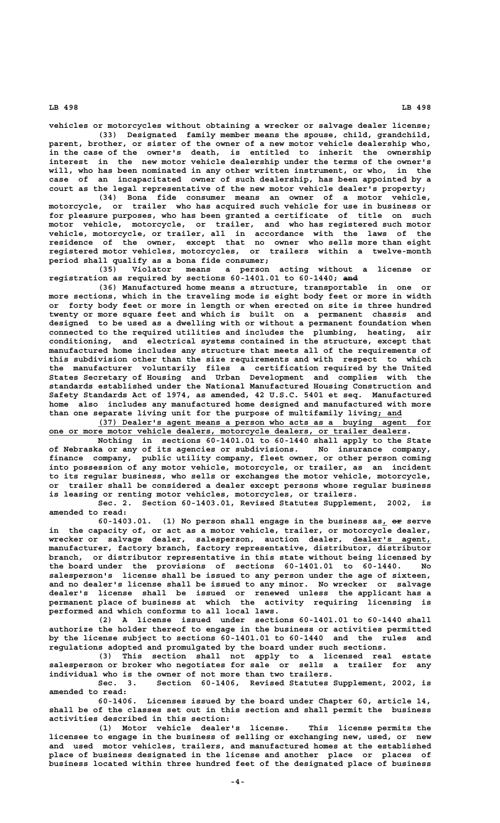**vehicles or motorcycles without obtaining a wrecker or salvage dealer license;**

**(33) Designated family member means the spouse, child, grandchild, parent, brother, or sister of the owner of a new motor vehicle dealership who, in the case of the owner's death, is entitled to inherit the ownership interest in the new motor vehicle dealership under the terms of the owner's will, who has been nominated in any other written instrument, or who, in the case of an incapacitated owner of such dealership, has been appointed by a court as the legal representative of the new motor vehicle dealer's property;**

**(34) Bona fide consumer means an owner of a motor vehicle, motorcycle, or trailer who has acquired such vehicle for use in business or for pleasure purposes, who has been granted a certificate of title on such motor vehicle, motorcycle, or trailer, and who has registered such motor vehicle, motorcycle, or trailer, all in accordance with the laws of the residence of the owner, except that no owner who sells more than eight registered motor vehicles, motorcycles, or trailers within a twelve-month period shall qualify as a bona fide consumer;**

**(35) Violator means a person acting without a license or** registration as required by sections 60-1401.01 to 60-1440; and

**(36) Manufactured home means a structure, transportable in one or more sections, which in the traveling mode is eight body feet or more in width or forty body feet or more in length or when erected on site is three hundred twenty or more square feet and which is built on a permanent chassis and designed to be used as a dwelling with or without a permanent foundation when connected to the required utilities and includes the plumbing, heating, air conditioning, and electrical systems contained in the structure, except that manufactured home includes any structure that meets all of the requirements of this subdivision other than the size requirements and with respect to which the manufacturer voluntarily files a certification required by the United States Secretary of Housing and Urban Development and complies with the standards established under the National Manufactured Housing Construction and Safety Standards Act of 1974, as amended, 42 U.S.C. 5401 et seq. Manufactured home also includes any manufactured home designed and manufactured with more** than one separate living unit for the purpose of multifamily living; and

 **\_\_\_\_\_\_\_\_\_\_\_\_\_\_\_\_\_\_\_\_\_\_\_\_\_\_\_\_\_\_\_\_\_\_\_\_\_\_\_\_\_\_\_\_\_\_\_\_\_\_\_\_\_\_\_\_\_\_\_\_\_\_\_\_\_\_\_\_ (37) Dealer's agent means a person who acts as a buying agent for \_\_\_\_\_\_\_\_\_\_\_\_\_\_\_\_\_\_\_\_\_\_\_\_\_\_\_\_\_\_\_\_\_\_\_\_\_\_\_\_\_\_\_\_\_\_\_\_\_\_\_\_\_\_\_\_\_\_\_\_\_\_\_\_\_\_\_\_\_\_\_\_\_ one or more motor vehicle dealers, motorcycle dealers, or trailer dealers.**

> **Nothing in sections 60-1401.01 to 60-1440 shall apply to the State of Nebraska or any of its agencies or subdivisions. No insurance company, finance company, public utility company, fleet owner, or other person coming into possession of any motor vehicle, motorcycle, or trailer, as an incident to its regular business, who sells or exchanges the motor vehicle, motorcycle, or trailer shall be considered a dealer except persons whose regular business is leasing or renting motor vehicles, motorcycles, or trailers.**

> **Sec. 2. Section 60-1403.01, Revised Statutes Supplement, 2002, is amended to read:**

> 60-1403.01. (1) No person shall engage in the business as, or serve **in the capacity of, or act as a motor vehicle, trailer, or motorcycle dealer, wrecker or salvage dealer, salesperson, auction dealer, dealer's agent, \_\_\_\_\_\_\_\_\_\_\_\_\_\_\_\_ manufacturer, factory branch, factory representative, distributor, distributor branch, or distributor representative in this state without being licensed by the board under the provisions of sections 60-1401.01 to 60-1440. No salesperson's license shall be issued to any person under the age of sixteen, and no dealer's license shall be issued to any minor. No wrecker or salvage dealer's license shall be issued or renewed unless the applicant has a permanent place of business at which the activity requiring licensing is performed and which conforms to all local laws.**

> **(2) A license issued under sections 60-1401.01 to 60-1440 shall authorize the holder thereof to engage in the business or activities permitted by the license subject to sections 60-1401.01 to 60-1440 and the rules and regulations adopted and promulgated by the board under such sections.**

> **(3) This section shall not apply to a licensed real estate salesperson or broker who negotiates for sale or sells a trailer for any individual who is the owner of not more than two trailers.**

> **Sec. 3. Section 60-1406, Revised Statutes Supplement, 2002, is amended to read:**

> **60-1406. Licenses issued by the board under Chapter 60, article 14, shall be of the classes set out in this section and shall permit the business activities described in this section:**

> **(1) Motor vehicle dealer's license. This license permits the licensee to engage in the business of selling or exchanging new, used, or new and used motor vehicles, trailers, and manufactured homes at the established place of business designated in the license and another place or places of business located within three hundred feet of the designated place of business**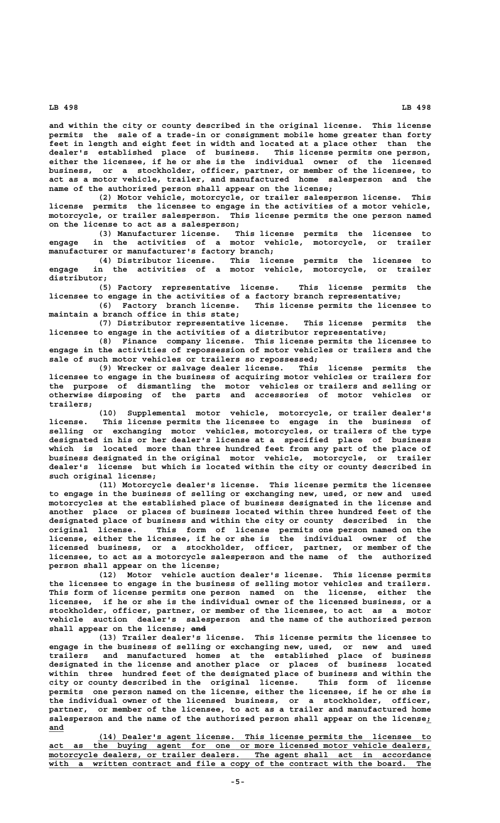**and within the city or county described in the original license. This license permits the sale of a trade-in or consignment mobile home greater than forty feet in length and eight feet in width and located at a place other than the dealer's established place of business. This license permits one person, either the licensee, if he or she is the individual owner of the licensed business, or a stockholder, officer, partner, or member of the licensee, to act as a motor vehicle, trailer, and manufactured home salesperson and the name of the authorized person shall appear on the license;**

**(2) Motor vehicle, motorcycle, or trailer salesperson license. This license permits the licensee to engage in the activities of a motor vehicle, motorcycle, or trailer salesperson. This license permits the one person named on the license to act as a salesperson;**

**(3) Manufacturer license. This license permits the licensee to engage in the activities of a motor vehicle, motorcycle, or trailer manufacturer or manufacturer's factory branch;**

**(4) Distributor license. This license permits the licensee to engage in the activities of a motor vehicle, motorcycle, or trailer distributor;**

**(5) Factory representative license. This license permits the licensee to engage in the activities of a factory branch representative;**

**(6) Factory branch license. This license permits the licensee to maintain a branch office in this state;**

**(7) Distributor representative license. This license permits the licensee to engage in the activities of a distributor representative;**

**(8) Finance company license. This license permits the licensee to engage in the activities of repossession of motor vehicles or trailers and the sale of such motor vehicles or trailers so repossessed;**

**(9) Wrecker or salvage dealer license. This license permits the licensee to engage in the business of acquiring motor vehicles or trailers for the purpose of dismantling the motor vehicles or trailers and selling or otherwise disposing of the parts and accessories of motor vehicles or trailers;**

**(10) Supplemental motor vehicle, motorcycle, or trailer dealer's license. This license permits the licensee to engage in the business of selling or exchanging motor vehicles, motorcycles, or trailers of the type designated in his or her dealer's license at a specified place of business which is located more than three hundred feet from any part of the place of business designated in the original motor vehicle, motorcycle, or trailer dealer's license but which is located within the city or county described in such original license;**

**(11) Motorcycle dealer's license. This license permits the licensee to engage in the business of selling or exchanging new, used, or new and used motorcycles at the established place of business designated in the license and another place or places of business located within three hundred feet of the designated place of business and within the city or county described in the original license. This form of license permits one person named on the license, either the licensee, if he or she is the individual owner of the licensed business, or a stockholder, officer, partner, or member of the licensee, to act as a motorcycle salesperson and the name of the authorized person shall appear on the license;**

**(12) Motor vehicle auction dealer's license. This license permits the licensee to engage in the business of selling motor vehicles and trailers. This form of license permits one person named on the license, either the licensee, if he or she is the individual owner of the licensed business, or a stockholder, officer, partner, or member of the licensee, to act as a motor vehicle auction dealer's salesperson and the name of the authorized person ——— shall appear on the license; and**

**(13) Trailer dealer's license. This license permits the licensee to engage in the business of selling or exchanging new, used, or new and used trailers and manufactured homes at the established place of business designated in the license and another place or places of business located within three hundred feet of the designated place of business and within the city or county described in the original license. This form of license** one person named on the license, either the licensee, if he or she is **the individual owner of the licensed business, or a stockholder, officer, partner, or member of the licensee, to act as a trailer and manufactured home salesperson and the name of the authorized person shall appear on the license;\_ and\_\_\_**

 **\_\_\_\_\_\_\_\_\_\_\_\_\_\_\_\_\_\_\_\_\_\_\_\_\_\_\_\_\_\_\_\_\_\_\_\_\_\_\_\_\_\_\_\_\_\_\_\_\_\_\_\_\_\_\_\_\_\_\_\_\_\_\_\_\_\_\_\_ (14) Dealer's agent license. This license permits the licensee to \_\_\_\_\_\_\_\_\_\_\_\_\_\_\_\_\_\_\_\_\_\_\_\_\_\_\_\_\_\_\_\_\_\_\_\_\_\_\_\_\_\_\_\_\_\_\_\_\_\_\_\_\_\_\_\_\_\_\_\_\_\_\_\_\_\_\_\_\_\_\_\_\_\_\_\_\_\_ act as the buying agent for one or more licensed motor vehicle dealers, \_\_\_\_\_\_\_\_\_\_\_\_\_\_\_\_\_\_\_\_\_\_\_\_\_\_\_\_\_\_\_\_\_\_\_\_\_\_\_\_\_\_\_\_\_\_\_\_\_\_\_\_\_\_\_\_\_\_\_\_\_\_\_\_\_\_\_\_\_\_\_\_\_\_\_\_\_\_ motorcycle dealers, or trailer dealers. The agent shall act in accordance** with a written contract and file a copy of the contract with the board. The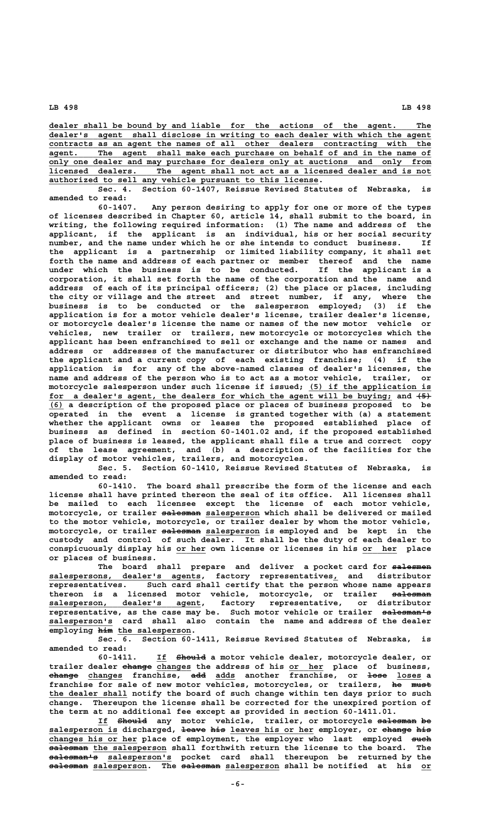**\_\_\_\_\_\_\_\_\_\_\_\_\_\_\_\_\_\_\_\_\_\_\_\_\_\_\_\_\_\_\_\_\_\_\_\_\_\_\_\_\_\_\_\_\_\_\_\_\_\_\_\_\_\_\_\_\_\_\_\_\_\_\_\_\_\_\_\_\_\_\_\_\_\_\_\_\_\_ dealer shall be bound by and liable for the actions of the agent. The \_\_\_\_\_\_\_\_\_\_\_\_\_\_\_\_\_\_\_\_\_\_\_\_\_\_\_\_\_\_\_\_\_\_\_\_\_\_\_\_\_\_\_\_\_\_\_\_\_\_\_\_\_\_\_\_\_\_\_\_\_\_\_\_\_\_\_\_\_\_\_\_\_\_\_\_\_\_ dealer's agent shall disclose in writing to each dealer with which the agent \_\_\_\_\_\_\_\_\_\_\_\_\_\_\_\_\_\_\_\_\_\_\_\_\_\_\_\_\_\_\_\_\_\_\_\_\_\_\_\_\_\_\_\_\_\_\_\_\_\_\_\_\_\_\_\_\_\_\_\_\_\_\_\_\_\_\_\_\_\_\_\_\_\_\_\_\_\_ contracts as an agent the names of all other dealers contracting with the \_\_\_\_\_\_\_\_\_\_\_\_\_\_\_\_\_\_\_\_\_\_\_\_\_\_\_\_\_\_\_\_\_\_\_\_\_\_\_\_\_\_\_\_\_\_\_\_\_\_\_\_\_\_\_\_\_\_\_\_\_\_\_\_\_\_\_\_\_\_\_\_\_\_\_\_\_\_ agent. The agent shall make each purchase on behalf of and in the name of** only one dealer and may purchase for dealers only at auctions and only from<br>licensed dealers. The agent shall not act as a licensed dealer and is not The agent shall not act as a licensed dealer and is not  **\_\_\_\_\_\_\_\_\_\_\_\_\_\_\_\_\_\_\_\_\_\_\_\_\_\_\_\_\_\_\_\_\_\_\_\_\_\_\_\_\_\_\_\_\_\_\_\_\_\_\_\_\_\_\_ authorized to sell any vehicle pursuant to this license.**

**Sec. 4. Section 60-1407, Reissue Revised Statutes of Nebraska, is amended to read:**

**60-1407. Any person desiring to apply for one or more of the types of licenses described in Chapter 60, article 14, shall submit to the board, in writing, the following required information: (1) The name and address of the applicant, if the applicant is an individual, his or her social security number, and the name under which he or she intends to conduct business. If the applicant is a partnership or limited liability company, it shall set forth the name and address of each partner or member thereof and the name under which the business is to be conducted. If the applicant is a corporation, it shall set forth the name of the corporation and the name and address of each of its principal officers; (2) the place or places, including the city or village and the street and street number, if any, where the business is to be conducted or the salesperson employed; (3) if the application is for a motor vehicle dealer's license, trailer dealer's license, or motorcycle dealer's license the name or names of the new motor vehicle or vehicles, new trailer or trailers, new motorcycle or motorcycles which the applicant has been enfranchised to sell or exchange and the name or names and address or addresses of the manufacturer or distributor who has enfranchised the applicant and a current copy of each existing franchise; (4) if the application is for any of the above-named classes of dealer's licenses, the name and address of the person who is to act as a motor vehicle, trailer, or** motorcycle salesperson under such license if issued; (5) if the application is  **\_\_\_\_\_\_\_\_\_\_\_\_\_\_\_\_\_\_\_\_\_\_\_\_\_\_\_\_\_\_\_\_\_\_\_\_\_\_\_\_\_\_\_\_\_\_\_\_\_\_\_\_\_\_\_\_\_\_\_\_\_\_\_\_\_\_\_\_\_\_ ——— for a dealer's agent, the dealers for which the agent will be buying; and (5) \_\_\_ (6) a description of the proposed place or places of business proposed to be operated in the event a license is granted together with (a) a statement whether the applicant owns or leases the proposed established place of business as defined in section 60-1401.02 and, if the proposed established place of business is leased, the applicant shall file a true and correct copy of the lease agreement, and (b) a description of the facilities for the display of motor vehicles, trailers, and motorcycles.**

**Sec. 5. Section 60-1410, Reissue Revised Statutes of Nebraska, is amended to read:**

**60-1410. The board shall prescribe the form of the license and each license shall have printed thereon the seal of its office. All licenses shall be mailed to each licensee except the license of each motor vehicle, ———————— \_\_\_\_\_\_\_\_\_\_\_ motorcycle, or trailer salesman salesperson which shall be delivered or mailed to the motor vehicle, motorcycle, or trailer dealer by whom the motor vehicle,** motorcycle, or trailer salesman salesperson is employed and be kept in the **custody and control of such dealer. It shall be the duty of each dealer to \_\_\_\_\_\_ \_\_\_\_\_\_\_ conspicuously display his or her own license or licenses in his or her place or places of business.**

**The board shall prepare and deliver a pocket card for salesmen ———————— \_\_\_\_\_\_\_\_\_\_\_\_\_\_\_\_\_\_\_\_\_\_\_\_\_\_\_\_\_\_\_ \_ salespersons, dealer's agents, factory representatives, and distributor representatives. Such card shall certify that the person whose name appears thereon is a licensed motor vehicle, motorcycle, or trailer salesman ———————— \_\_\_\_\_\_\_\_\_\_\_\_\_\_\_\_\_\_\_\_\_\_\_\_\_\_\_\_\_\_\_ salesperson, dealer's agent, factory representative, or distributor**  $r$  representative, as the case may be. Such motor vehicle or trailer salesman's  **\_\_\_\_\_\_\_\_\_\_\_\_\_ salesperson's card shall also contain the name and address of the dealer** employing  $\overline{h}$ <sup>im</sup> the salesperson.

**Sec. 6. Section 60-1411, Reissue Revised Statutes of Nebraska, is amended to read:**

 **\_\_ —————— 60-1411. If Should a motor vehicle dealer, motorcycle dealer, or** trailer dealer change changes the address of his or her place of business,  **—————— \_\_\_\_\_\_\_ ——— \_\_\_\_ ———— \_\_\_\_\_ change changes franchise, add adds another franchise, or lose loses a** franchise for sale of new motor vehicles, motorcycles, or trailers, he must  **\_\_\_\_\_\_\_\_\_\_\_\_\_\_\_\_ the dealer shall notify the board of such change within ten days prior to such change. Thereupon the license shall be corrected for the unexpired portion of the term at no additional fee except as provided in section 60-1411.01.**

 **\_\_ —————— ———————— —— If Should any motor vehicle, trailer, or motorcycle salesman be salesperson is discharged, leave his leaves his or her employer, or change his \_\_\_\_\_\_\_\_\_\_\_\_\_\_ ————— ——— \_\_\_\_\_\_\_\_\_\_\_\_\_\_\_\_\_ —————— ——— \_\_\_\_\_\_\_\_\_\_\_\_\_\_\_\_\_\_ changes his or her place of employment, the employer who last employed such ———— ———————— \_\_\_\_\_\_\_\_\_\_\_\_\_\_\_ salesman the salesperson shall forthwith return the license to the board. The —————————— \_\_\_\_\_\_\_\_\_\_\_\_\_ salesman's salesperson's pocket card shall thereupon be returned by the ———————— \_\_\_\_\_\_\_\_\_\_\_ ———————— \_\_\_\_\_\_\_\_\_\_\_ \_\_ salesman salesperson. The salesman salesperson shall be notified at his or**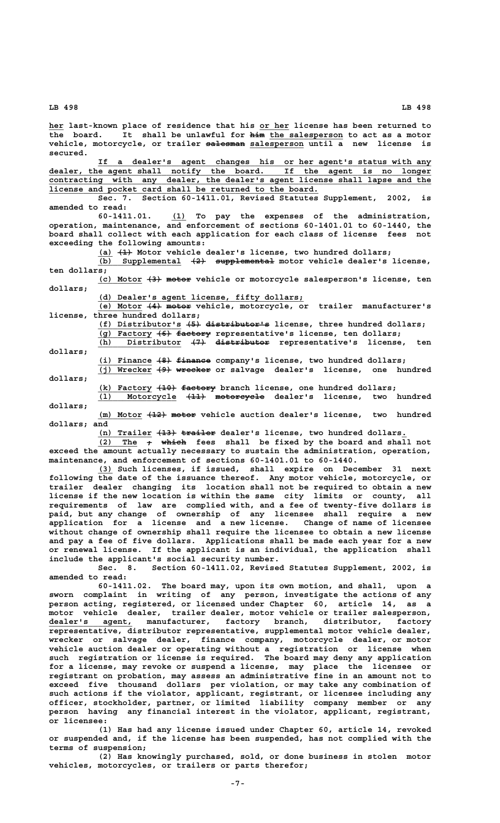**secured.**

**amended to read:**

 **\_\_\_\_\_\_\_\_\_\_\_\_\_\_\_\_\_\_\_\_\_\_\_\_\_\_\_\_\_\_\_\_\_\_\_\_\_\_\_\_\_\_\_\_\_\_\_\_\_\_\_\_\_\_\_\_\_\_\_\_\_\_\_\_\_\_\_\_ If a dealer's agent changes his or her agent's status with any \_\_\_\_\_\_\_\_\_\_\_\_\_\_\_\_\_\_\_\_\_\_\_\_\_\_\_\_\_\_\_\_\_\_\_\_\_\_\_\_\_\_\_\_\_\_\_\_\_\_\_\_\_\_\_\_\_\_\_\_\_\_\_\_\_\_\_\_\_\_\_\_\_\_\_\_\_\_ dealer, the agent shall notify the board. If the agent is no longer \_\_\_\_\_\_\_\_\_\_\_\_\_\_\_\_\_\_\_\_\_\_\_\_\_\_\_\_\_\_\_\_\_\_\_\_\_\_\_\_\_\_\_\_\_\_\_\_\_\_\_\_\_\_\_\_\_\_\_\_\_\_\_\_\_\_\_\_\_\_\_\_\_\_\_\_\_\_ contracting with any dealer, the dealer's agent license shall lapse and the \_\_\_\_\_\_\_\_\_\_\_\_\_\_\_\_\_\_\_\_\_\_\_\_\_\_\_\_\_\_\_\_\_\_\_\_\_\_\_\_\_\_\_\_\_\_\_\_\_\_\_\_\_\_\_ license and pocket card shall be returned to the board. Sec. 7. Section 60-1411.01, Revised Statutes Supplement, 2002, is \_\_\_ 60-1411.01. (1) To pay the expenses of the administration,**

**operation, maintenance, and enforcement of sections 60-1401.01 to 60-1440, the board shall collect with each application for each class of license fees not exceeding the following amounts:**

 **\_\_\_ \_\_\_\_\_\_ her last-known place of residence that his or her license has been returned to**  $\overline{\text{the}}$  board. It shall be unlawful for  $\overline{\text{him}}$  the salesperson to act as a motor vehicle, motorcycle, or trailer salesman salesperson until a new license is

 **\_\_\_ ——— (a) (1) Motor vehicle dealer's license, two hundred dollars;**

**(b) Supplemental (2) supplemental motor vehicle dealer's license, \_\_\_\_\_\_\_\_\_\_\_\_\_\_\_\_\_ ——— ——————————— ten dollars;**

(c) Motor  $\{3\}$  motor vehicle or motorcycle salesperson's license, ten  **dollars;**

 **\_\_\_\_\_\_\_\_\_\_\_\_\_\_\_\_\_\_\_\_\_\_\_\_\_\_\_\_\_\_\_\_\_\_\_\_\_\_\_\_\_\_ (d) Dealer's agent license, fifty dollars;**

(e) Motor  $\{4\}$  motor vehicle, motorcycle, or trailer manufacturer's **license, three hundred dollars;**

**(f) Distributor's (5) distributor's license, three hundred dollars; \_\_\_\_\_\_\_\_\_\_\_\_\_\_\_\_\_ ——— ————————————— (g) Factory (6) factory representative's license, ten dollars; \_\_\_\_\_\_\_\_\_\_\_ ——— ———————** (h) Distributor  $\{7\}$  distributor representative's license, ten

 **dollars;**

(i) Finance  $\{8\}$  finance company's license, two hundred dollars; (j) Wrecker (9) wrecker or salvage dealer's license, one hundred  **dollars;**

**(k) Factory (10) factory branch license, one hundred dollars; \_\_\_\_\_\_\_\_\_\_\_ ———— ———————**

(1) Motorcycle <del>(11) motorcycle</del> dealer's license, two hundred  **dollars;**

**(m) Motor (12) motor vehicle auction dealer's license, two hundred \_\_\_\_\_\_\_\_\_ ———— ———— dollars; and**

(n) Trailer  $\{13\}$  trailer dealer's license, two hundred dollars.

 $\overline{(2)}$  The  $\rightarrow$  which fees shall be fixed by the board and shall not **exceed the amount actually necessary to sustain the administration, operation, maintenance, and enforcement of sections 60-1401.01 to 60-1440.**

 **\_\_\_ (3) Such licenses, if issued, shall expire on December 31 next following the date of the issuance thereof. Any motor vehicle, motorcycle, or trailer dealer changing its location shall not be required to obtain a new license if the new location is within the same city limits or county, all requirements of law are complied with, and a fee of twenty-five dollars is paid, but any change of ownership of any licensee shall require a new application for a license and a new license. Change of name of licensee without change of ownership shall require the licensee to obtain a new license and pay a fee of five dollars. Applications shall be made each year for a new or renewal license. If the applicant is an individual, the application shall include the applicant's social security number.**

**Sec. 8. Section 60-1411.02, Revised Statutes Supplement, 2002, is amended to read:**

**60-1411.02. The board may, upon its own motion, and shall, upon a sworn complaint in writing of any person, investigate the actions of any person acting, registered, or licensed under Chapter 60, article 14, as a motor vehicle dealer, trailer dealer, motor vehicle or trailer salesperson, \_\_\_\_\_\_\_\_\_\_\_\_\_\_\_\_\_ dealer's agent, manufacturer, factory branch, distributor, factory representative, distributor representative, supplemental motor vehicle dealer, wrecker or salvage dealer, finance company, motorcycle dealer, or motor vehicle auction dealer or operating without a registration or license when such registration or license is required. The board may deny any application for a license, may revoke or suspend a license, may place the licensee or registrant on probation, may assess an administrative fine in an amount not to exceed five thousand dollars per violation, or may take any combination of such actions if the violator, applicant, registrant, or licensee including any officer, stockholder, partner, or limited liability company member or any person having any financial interest in the violator, applicant, registrant, or licensee:**

> **(1) Has had any license issued under Chapter 60, article 14, revoked or suspended and, if the license has been suspended, has not complied with the terms of suspension;**

> **(2) Has knowingly purchased, sold, or done business in stolen motor vehicles, motorcycles, or trailers or parts therefor;**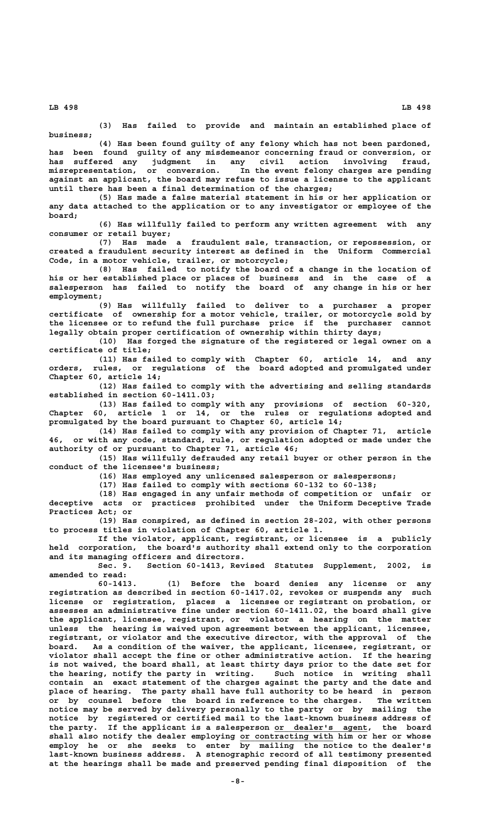**(3) Has failed to provide and maintain an established place of business;**

**(4) Has been found guilty of any felony which has not been pardoned, has been found guilty of any misdemeanor concerning fraud or conversion, or has suffered any judgment in any civil action involving fraud, misrepresentation, or conversion. In the event felony charges are pending** misrepresentation, or conversion. In the event felony charges are pending<br>against an applicant, the board may refuse to issue a license to the applicant **until there has been a final determination of the charges;**

**(5) Has made a false material statement in his or her application or any data attached to the application or to any investigator or employee of the board;**

**(6) Has willfully failed to perform any written agreement with any consumer or retail buyer;**

**(7) Has made a fraudulent sale, transaction, or repossession, or created a fraudulent security interest as defined in the Uniform Commercial Code, in a motor vehicle, trailer, or motorcycle;**

**(8) Has failed to notify the board of a change in the location of his or her established place or places of business and in the case of a salesperson has failed to notify the board of any change in his or her employment;**

**(9) Has willfully failed to deliver to a purchaser a proper certificate of ownership for a motor vehicle, trailer, or motorcycle sold by the licensee or to refund the full purchase price if the purchaser cannot legally obtain proper certification of ownership within thirty days;**

**(10) Has forged the signature of the registered or legal owner on a certificate of title;**

**(11) Has failed to comply with Chapter 60, article 14, and any orders, rules, or regulations of the board adopted and promulgated under Chapter 60, article 14;**

**(12) Has failed to comply with the advertising and selling standards established in section 60-1411.03;**

**(13) Has failed to comply with any provisions of section 60-320, Chapter 60, article 1 or 14, or the rules or regulations adopted and promulgated by the board pursuant to Chapter 60, article 14;**

**(14) Has failed to comply with any provision of Chapter 71, article 46, or with any code, standard, rule, or regulation adopted or made under the authority of or pursuant to Chapter 71, article 46;**

**(15) Has willfully defrauded any retail buyer or other person in the conduct of the licensee's business;**

**(16) Has employed any unlicensed salesperson or salespersons;**

**(17) Has failed to comply with sections 60-132 to 60-138;**

**(18) Has engaged in any unfair methods of competition or unfair or deceptive acts or practices prohibited under the Uniform Deceptive Trade Practices Act; or**

**(19) Has conspired, as defined in section 28-202, with other persons to process titles in violation of Chapter 60, article 1.**

**If the violator, applicant, registrant, or licensee is a publicly held corporation, the board's authority shall extend only to the corporation and its managing officers and directors.**

**Sec. 9. Section 60-1413, Revised Statutes Supplement, 2002, is amended to read:**

**60-1413. (1) Before the board denies any license or any registration as described in section 60-1417.02, revokes or suspends any such license or registration, places a licensee or registrant on probation, or assesses an administrative fine under section 60-1411.02, the board shall give the applicant, licensee, registrant, or violator a hearing on the matter unless the hearing is waived upon agreement between the applicant, licensee, registrant, or violator and the executive director, with the approval of the board. As a condition of the waiver, the applicant, licensee, registrant, or violator shall accept the fine or other administrative action. If the hearing is not waived, the board shall, at least thirty days prior to the date set for** the hearing, notify the party in writing. **contain an exact statement of the charges against the party and the date and place of hearing. The party shall have full authority to be heard in person or by counsel before the board in reference to the charges. The written notice may be served by delivery personally to the party or by mailing the notice by registered or certified mail to the last-known business address of** the party. If the applicant is a salesperson or dealer's agent, the board shall also notify the dealer employing or contracting with him or her or whose **employ he or she seeks to enter by mailing the notice to the dealer's last-known business address. A stenographic record of all testimony presented at the hearings shall be made and preserved pending final disposition of the**